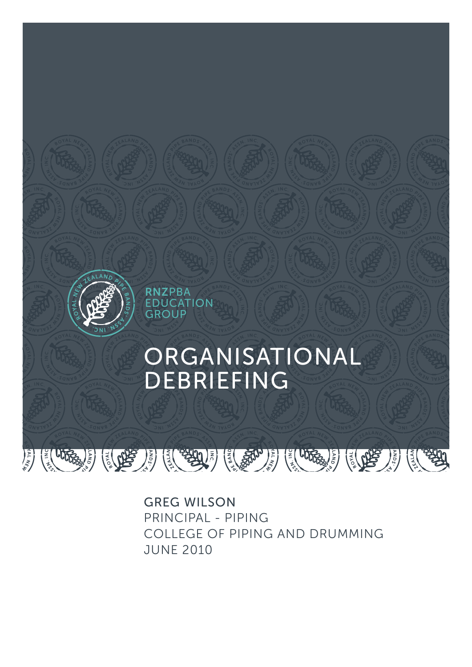

GREG WILSON PRINCIPAL - PIPING COLLEGE OF PIPING AND DRUMMING JUNE 2010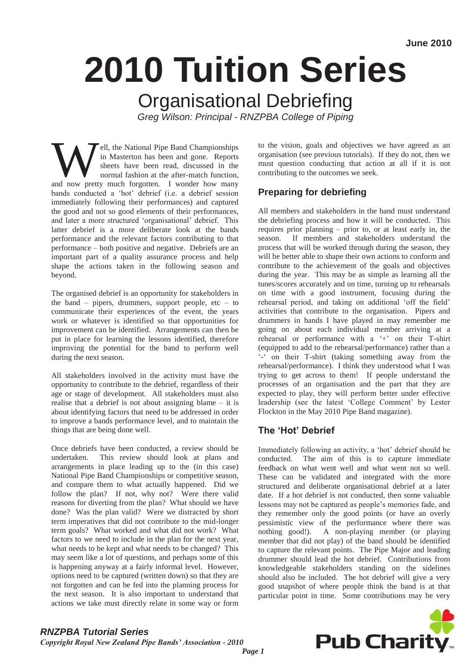# **2010 Tuition Series**

## Organisational Debriefing

*Greg Wilson: Principal - RNZPBA College of Piping* 

**Ell, the National Pipe Band Championships** in Masterton has been and gone. Reports sheets have been read, discussed in the normal fashion at the after-match function, and now pretty much forgotten. I wonder how many in Masterton has been and gone. Reports sheets have been read, discussed in the normal fashion at the after-match function, bands conducted a "hot" debrief (i.e. a debrief session immediately following their performances) and captured the good and not so good elements of their performances, and later a more structured "organisational" debrief. This latter debrief is a more deliberate look at the bands performance and the relevant factors contributing to that performance – both positive and negative. Debriefs are an important part of a quality assurance process and help shape the actions taken in the following season and beyond.

The organised debrief is an opportunity for stakeholders in the band – pipers, drummers, support people, etc – to communicate their experiences of the event, the years work or whatever is identified so that opportunities for improvement can be identified. Arrangements can then be put in place for learning the lessons identified, therefore improving the potential for the band to perform well during the next season.

All stakeholders involved in the activity must have the opportunity to contribute to the debrief, regardless of their age or stage of development. All stakeholders must also realise that a debrief is not about assigning blame – it is about identifying factors that need to be addressed in order to improve a bands performance level, and to maintain the things that are being done well.

Once debriefs have been conducted, a review should be undertaken. This review should look at plans and arrangements in place leading up to the (in this case) National Pipe Band Championships or competitive season, and compare them to what actually happened. Did we follow the plan? If not, why not? Were there valid reasons for diverting from the plan? What should we have done? Was the plan valid? Were we distracted by short term imperatives that did not contribute to the mid-longer term goals? What worked and what did not work? What factors to we need to include in the plan for the next year, what needs to be kept and what needs to be changed? This may seem like a lot of questions, and perhaps some of this is happening anyway at a fairly informal level. However, options need to be captured (written down) so that they are not forgotten and can be fed into the planning process for the next season. It is also important to understand that actions we take must directly relate in some way or form

to the vision, goals and objectives we have agreed as an organisation (see previous tutorials). If they do not, then we must question conducting that action at all if it is not contributing to the outcomes we seek.

#### **Preparing for debriefing**

All members and stakeholders in the band must understand the debriefing process and how it will be conducted. This requires prior planning – prior to, or at least early in, the season. If members and stakeholders understand the process that will be worked through during the season, they will be better able to shape their own actions to conform and contribute to the achievement of the goals and objectives during the year. This may be as simple as learning all the tunes/scores accurately and on time, turning up to rehearsals on time with a good instrument, focusing during the rehearsal period, and taking on additional "off the field" activities that contribute to the organisation. Pipers and drummers in bands I have played in may remember me going on about each individual member arriving at a rehearsal or performance with a '+' on their T-shirt (equipped to add to the rehearsal/performance) rather than a -" on their T-shirt (taking something away from the rehearsal/performance). I think they understood what I was trying to get across to them! If people understand the processes of an organisation and the part that they are expected to play, they will perform better under effective leadership (see the latest "College Comment" by Lester Flockton in the May 2010 Pipe Band magazine).

#### **The 'Hot' Debrief**

Immediately following an activity, a "hot" debrief should be conducted. The aim of this is to capture immediate feedback on what went well and what went not so well. These can be validated and integrated with the more structured and deliberate organisational debrief at a later date. If a hot debrief is not conducted, then some valuable lessons may not be captured as people"s memories fade, and they remember only the good points (or have an overly pessimistic view of the performance where there was nothing good!). A non-playing member (or playing member that did not play) of the band should be identified to capture the relevant points. The Pipe Major and leading drummer should lead the hot debrief. Contributions from knowledgeable stakeholders standing on the sidelines should also be included. The hot debrief will give a very good snapshot of where people think the band is at that particular point in time. Some contributions may be very



#### *RNZPBA Tutorial Series Copyright Royal New Zealand Pipe Bands' Association - 2010*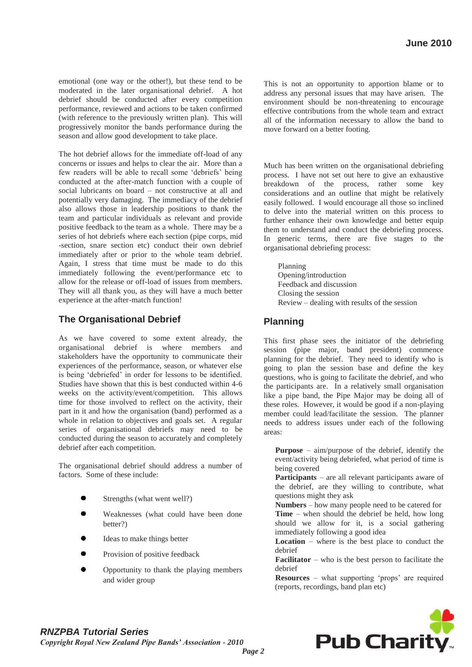emotional (one way or the other!), but these tend to be moderated in the later organisational debrief. A hot debrief should be conducted after every competition performance, reviewed and actions to be taken confirmed (with reference to the previously written plan). This will progressively monitor the bands performance during the season and allow good development to take place.

The hot debrief allows for the immediate off-load of any concerns or issues and helps to clear the air. More than a few readers will be able to recall some "debriefs" being conducted at the after-match function with a couple of social lubricants on board – not constructive at all and potentially very damaging. The immediacy of the debrief also allows those in leadership positions to thank the team and particular individuals as relevant and provide positive feedback to the team as a whole. There may be a series of hot debriefs where each section (pipe corps, mid -section, snare section etc) conduct their own debrief immediately after or prior to the whole team debrief. Again, I stress that time must be made to do this immediately following the event/performance etc to allow for the release or off-load of issues from members. They will all thank you, as they will have a much better experience at the after-match function!

#### **The Organisational Debrief**

As we have covered to some extent already, the organisational debrief is where members and stakeholders have the opportunity to communicate their experiences of the performance, season, or whatever else is being "debriefed" in order for lessons to be identified. Studies have shown that this is best conducted within 4-6 weeks on the activity/event/competition. This allows time for those involved to reflect on the activity, their part in it and how the organisation (band) performed as a whole in relation to objectives and goals set. A regular series of organisational debriefs may need to be conducted during the season to accurately and completely debrief after each competition.

The organisational debrief should address a number of factors. Some of these include:

- Strengths (what went well?)
- Weaknesses (what could have been done better?)
- Ideas to make things better
- Provision of positive feedback
- Opportunity to thank the playing members and wider group

This is not an opportunity to apportion blame or to address any personal issues that may have arisen. The environment should be non-threatening to encourage effective contributions from the whole team and extract all of the information necessary to allow the band to move forward on a better footing.

Much has been written on the organisational debriefing process. I have not set out here to give an exhaustive breakdown of the process, rather some key considerations and an outline that might be relatively easily followed. I would encourage all those so inclined to delve into the material written on this process to further enhance their own knowledge and better equip them to understand and conduct the debriefing process. In generic terms, there are five stages to the organisational debriefing process:

Planning Opening/introduction Feedback and discussion Closing the session Review – dealing with results of the session

#### **Planning**

This first phase sees the initiator of the debriefing session (pipe major, band president) commence planning for the debrief. They need to identify who is going to plan the session base and define the key questions, who is going to facilitate the debrief, and who the participants are. In a relatively small organisation like a pipe band, the Pipe Major may be doing all of these roles. However, it would be good if a non-playing member could lead/facilitate the session. The planner needs to address issues under each of the following areas:

**Purpose** – aim/purpose of the debrief, identify the event/activity being debriefed, what period of time is being covered

**Participants** – are all relevant participants aware of the debrief, are they willing to contribute, what questions might they ask

**Numbers** – how many people need to be catered for **Time** – when should the debrief be held, how long should we allow for it, is a social gathering immediately following a good idea

**Location** – where is the best place to conduct the debrief

**Facilitator** – who is the best person to facilitate the debrief

**Resources** – what supporting 'props' are required (reports, recordings, band plan etc)

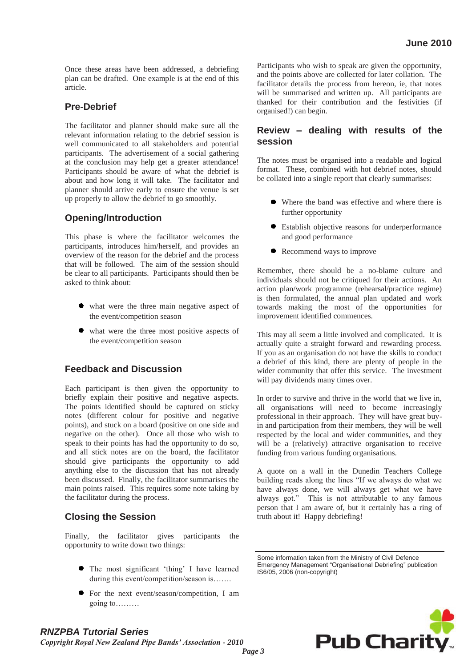Once these areas have been addressed, a debriefing plan can be drafted. One example is at the end of this article.

#### **Pre-Debrief**

The facilitator and planner should make sure all the relevant information relating to the debrief session is well communicated to all stakeholders and potential participants. The advertisement of a social gathering at the conclusion may help get a greater attendance! Participants should be aware of what the debrief is about and how long it will take. The facilitator and planner should arrive early to ensure the venue is set up properly to allow the debrief to go smoothly.

#### **Opening/Introduction**

This phase is where the facilitator welcomes the participants, introduces him/herself, and provides an overview of the reason for the debrief and the process that will be followed. The aim of the session should be clear to all participants. Participants should then be asked to think about:

- what were the three main negative aspect of the event/competition season
- what were the three most positive aspects of the event/competition season

#### **Feedback and Discussion**

Each participant is then given the opportunity to briefly explain their positive and negative aspects. The points identified should be captured on sticky notes (different colour for positive and negative points), and stuck on a board (positive on one side and negative on the other). Once all those who wish to speak to their points has had the opportunity to do so, and all stick notes are on the board, the facilitator should give participants the opportunity to add anything else to the discussion that has not already been discussed. Finally, the facilitator summarises the main points raised. This requires some note taking by the facilitator during the process.

#### **Closing the Session**

Finally, the facilitator gives participants the opportunity to write down two things:

- The most significant 'thing' I have learned during this event/competition/season is…….
- For the next event/season/competition, I am going to………

Participants who wish to speak are given the opportunity, and the points above are collected for later collation. The facilitator details the process from hereon, ie, that notes will be summarised and written up. All participants are thanked for their contribution and the festivities (if organised!) can begin.

#### **Review – dealing with results of the session**

The notes must be organised into a readable and logical format. These, combined with hot debrief notes, should be collated into a single report that clearly summarises:

- Where the band was effective and where there is further opportunity
- Establish objective reasons for underperformance and good performance
- Recommend ways to improve

Remember, there should be a no-blame culture and individuals should not be critiqued for their actions. An action plan/work programme (rehearsal/practice regime) is then formulated, the annual plan updated and work towards making the most of the opportunities for improvement identified commences.

This may all seem a little involved and complicated. It is actually quite a straight forward and rewarding process. If you as an organisation do not have the skills to conduct a debrief of this kind, there are plenty of people in the wider community that offer this service. The investment will pay dividends many times over.

In order to survive and thrive in the world that we live in, all organisations will need to become increasingly professional in their approach. They will have great buyin and participation from their members, they will be well respected by the local and wider communities, and they will be a (relatively) attractive organisation to receive funding from various funding organisations.

A quote on a wall in the Dunedin Teachers College building reads along the lines "If we always do what we have always done, we will always get what we have always got." This is not attributable to any famous person that I am aware of, but it certainly has a ring of truth about it! Happy debriefing!

Some information taken from the Ministry of Civil Defence Emergency Management "Organisational Debriefing" publication IS6/05, 2006 (non-copyright)



### *RNZPBA Tutorial Series*

*Copyright Royal New Zealand Pipe Bands' Association - 2010*